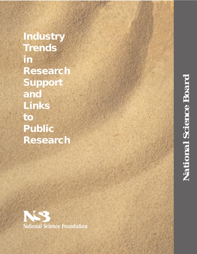**Industry Trends in Research Support and Links to Public Research**

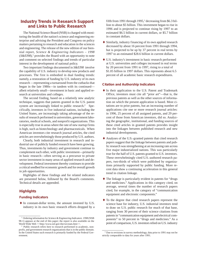# **Industry Trends in Research Support and Links to Public Research**

The National Science Board (NSB) is charged with monitoring the health of the nation's science and engineering enterprise and advising the President and Congress on policy matters pertaining to research and education in the sciences and engineering. The release of the new edition of our biennial report, *Science & Engineering Indicators – 1998*  $(S\&E I98)$ ,<sup>1</sup> provides the Board with an opportunity to note and comment on selected findings and trends of particular interest in the development of national policy.

Two important findings documented in *S&EI98* involve the capability of U.S. industry to develop new products and processes. The first is embodied in dual funding trends: namely, a restoration of funding by U.S. industry of its own research —representing a turnaround from the cutbacks that began in the late 1980s—in tandem with its continued albeit relatively small—investment in basic and applied research at universities and colleges.

The second finding, based on a relatively new analytic technique, suggests that patents granted in the U.S. patent system are increasingly linked to public research.<sup>2</sup> Specifically, inventors in five industrial nations, including the United States, are increasingly taking advantage of the results of research performed in universities, government laboratories, medical schools, and nonprofit organizations. This is especially true in areas where the rate of new startup firms is high, such as biotechnology and pharmaceuticals. When American inventors cite research journal articles, the cited articles are overwhelmingly those produced by U.S. authors.

Clearly, both industrial investment in research and industrial use of publicly funded research have been growing. Thus, investments by industry and government continue to complement each other, with public investment—primarily in basic research—often serving as a precursor to private sector investment in many areas of applied research and development. Federal investment thereby continues to provide a critical seedbed for economic growth and for overall growth in job opportunities.

Highlights of these findings and for related indicators are presented below, followed by the Board's comments. Technical details are appended.

#### **Highlights**

#### *Funding Indicators*

 $\blacklozenge$  In constant-dollar terms, the amount invested by U.S. industry in its own basic research efforts dropped by a fifth from 1991 through 1995,<sup>3</sup> decreasing from \$6.3 billion to about \$5 billion. This investment began to rise in 1996 and is projected to continue rising by 1997 to an estimated \$6.5 billion in current dollars, or \$5.7 billion in constant dollars.

- $\blacklozenge$  Similarly, industry financing of its own applied research decreased by about 16 percent from 1991 through 1994, but is projected to be up by 37 percent in real terms by 1997 to an estimated \$28.6 billion in current dollars.
- $\blacklozenge$  U.S. industry's investment in basic research performed at U.S. universities and colleges increased in real terms by 20 percent from 1991 to 1997, rising to a total of \$1.05 billion in 1997 dollars. This represents about 6.5 percent of all academic basic research expenditures.

#### *Citation and Authorship Indicators*

- $\blacklozenge$  In their application to the U.S. Patent and Trademark Office, inventors must cite all "prior art"—that is, the previous patents as well as the other sources of information on which the present application is based. Most citations are to prior patents, but an increasing number of applications cite one or more research journal articles: in 1996, 25 percent of all assigned patents, and 29 percent of those from American inventors, did so. Analyzing the geographic, institutional, and funding sources of these cited articles in granted patents provides insight into the linkages between published research and new industrial developments.
- Analyses of the U.S.-granted patents that cited research papers suggest that the linkage between patents and public research was strengthening at an increasing rate across five major industrialized nations. This was particularly true for the half of U.S. patents granted to U.S. inventors. These overwhelmingly cited U.S.-authored research papers, two-thirds of which were published by organizations primarily supported by public funding. More recent data show a continuing acceleration in this general trend in citation linkage.
- $\blacklozenge$  The linkage is particularly evident in patents for "drugs" and medicines." Applications in this category cited, on average, several times the number of research papers cited, for example, in the category of "communication equipment and electronic components."
- $\blacklozenge$  To the degree that cited research papers represent the science base for industry, U.S. industrial inventors tend to draw on U.S. public research for much of that base, ranging from 30 percent of their science citations from patents in "communication equipment and electrical components" to 50 percent in "drugs and medicines." As a point of comparison, U.S. inventors relied on U.S. industry

<sup>1</sup> Ordering information for *Science & Engineering Indicators 1998* (NSB 98-1) appears at the end of this paper; the report is also available on the World Wide Web <<http://www.nsf.gov/sbe/srs/stats.htm>>.

Public research refers here to research performed in academic, nonprofit, and government research organizations that is in the public domain. In the United States such research is primarily funded by the Federal Government.

<sup>&</sup>lt;sup>3</sup> Due to revisions in survey methodology, data prior to 1991 may not be strictly comparable to data for years after 1991.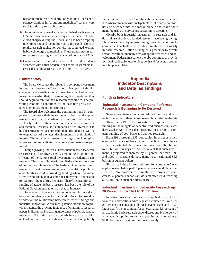research much less frequently; only about 17 percent of science citations in "drugs and medicines" patents were to U.S. industry research papers.

- l The number of journal articles published each year by U.S. industrial researchers in physical science fields declined sharply during the 1990s, and has been dropping in engineering and technology since the 1980s. Concurrently, research publication activity has continued to climb in biotechnology and medicine. These trends may in part reflect restructuring and refocusing of corporate R&D.
- l Coauthorship of journal articles by U.S. industrial researchers with either academic or Federal researchers increased steadily across all fields from 1981 to 1995.

# **Commentary**

The Board welcomes the rebound in company investment in their own research efforts. In our view, part of this increase reflects a realization by some firms that had reduced investments earlier that, to remain highly competitive, they should begin to rebuild their research capabilities. The prevailing economic conditions of the past few years facilitated such investment opportunities.

The Board also welcomes the continuing trend by companies to increase their investments in basic and applied research performed in academic institutions. Such research is closely linked to the education of scientists, engineers, and technical workers; and companies often invest in it to be closer to a potential source of talented students as well as to keep abreast of the latest developments in their fields of interest. The transfer of research findings to technological advances is often facilitated when recent graduates take jobs in industry.

Though growing, industrial investment in basic academic research is still relatively small, amounting to about onefifteenth of the nation's total investment in academic basic research. The roles of industrial and Federal investment are, of course, complementary. The Federal Government funds research to meet its own missions or to benefit the public as a whole; this includes providing funding where individual firms are not likely to invest because they would not be able to "capture" the resulting benefits. Therefore, traditionally, funding of academic basic research has been the role of the Federal Government rather than that of industry.

The analysis of patent citations to research journal articles is a relatively new technique, developed to provide a window on the relationship between research findings and industrial innovation. While most patent citations are to previous patents, the growing incidence of citations to research papers indicates the increasing importance of publicly funded research to U.S. industry—particularly in areas such as biotechnology and pharmaceuticals. The impact of publicly

funded scientific research on the national economy is realized when companies use such patents to introduce new products or services into the marketplace or to make their manufacturing or service processes more effective.

Clearly, both industrial investment in research and industrial use of publicly funded research have been growing. Thus, investments by industry and government continue to complement each other, with public investment—primarily in basic research—often serving as a precursor to private sector investment in many areas of applied research and development. Federal investment thereby continues to provide a critical seedbed for economic growth and for overall growth in job opportunities.

# **Appendix Indicator Descriptions and Detailed Findings**

#### **Funding Indicators**

## *Industrial Investment in Company-Performed Research Is Beginning to Be Restored*

Several prominent companies reduced the size and redirected the focus of their central research facilities in the late 1980s and early 1990s; the proportion of corporate research funding in the budgets of decentralized business units was decreased as well. These declines show up as drops in company funding of both basic and applied research.

From 1991 through 1995, companies' investment in their own performance of basic research declined more than a fifth, in constant-dollar terms, dropping from \$6.3 billion to \$5 billion. Surveys of industry reveal that such investment is projected to increase by 15 percent between 1995 and 1997 in constant dollars, rising to an estimated \$6.5 billion in current dollars.

Similarly, industrial expenditures for companies' own applied research dropped 16 percent in constant dollars from 1991 to 1994; however, this investment is projected to increase 37 percent (in constant dollars) after 1994, reaching \$28.6 billion in current dollars in 1997.

## *Industrial Investment in University Research up 20 Percent Since 1991 to \$1.5 Billion*

Industrial investment in basic and applied research performed at universities and colleges is estimated to have risen 20 percent (in constant dollars) between 1991 and 1997. Industrial firms accounted for an estimated 6.5 percent of all academic basic research expenditures and 9.1 percent of all academic applied research expenditures, amounting to \$1.05 billion and \$545 million, respectively.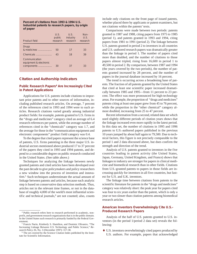#### **Percent of citations from 1993 & 1994 U.S. Industrial patents to research papers, by origin of paper**

| Product field                                         | U.S.<br>public<br>research | U.S.<br>industry<br>research | $Non-$<br>U.S.<br>research |
|-------------------------------------------------------|----------------------------|------------------------------|----------------------------|
| Drugs<br>& medicines                                  | 50                         | 17                           | 33                         |
| Chemicals <b>Chemicals</b>                            | 43                         | 18                           | 39                         |
| Communication<br>equipment & electronic<br>components | 30                         | 37                           | 33                         |

#### **Citation and Authorship Indicators**

#### *Public Research Papers4 Are Increasingly Cited in Patent Applications*

Applications for U.S. patents include citations to important prior patents and to other sources of information, including published research articles. On average, 7 percent of the references cited in 1993 and 1994 were to such articles. Research citations varied greatly among industrial product fields: for example, patents granted to U.S. firms in the "drugs and medicines" category cited an average of 6.4 research references per patent, while the average number of references cited in the "chemicals" category was 1.7, and the average for those in the "communication equipment and electronic components" product field category was 0.4.

To the degree that cited papers represent the science base of patents, U.S. firms patenting in the three major U.S. industrial sectors mentioned above produced 17 to 37 percent of the papers they cited in 1993 and 1994 patents, and depend to a considerable degree on public research conducted in the United States. (See table above.)

Techniques for analyzing the linkage between newly granted patents and cited articles have been developed over the past decade to give policymakers and policy researchers a new window into the process of invention and innovation.5 Such techniques underestimate the actual amount of linkage between patents and articles, because each analytic step is based on conservative data selection methods. Thus, articles not in the relevant time frames, or not in the database of roughly 4,000 of the world's most influential scientific and technical journals,<sup>6</sup> are not counted; also, counts include only citations on the front page of issued patents, whether placed there by applicants or patent examiners, but not citations within the patents' texts.

Comparisons were made between two periods: patents granted in 1987 and 1988, citing papers from 1975 to 1985 (period 1), and patents granted in 1993 and 1994, citing papers from 1981 to 1991 (period 2). The linkage between U.S. patents granted in period 2 to inventors in all countries and U.S.-authored research papers was dramatically greater than the linkage in period 1. The number of papers cited more than doubled, and the number of citations to those papers almost tripled, rising from 16,600 in period 1 to 49,500 in period 2. By comparison, between 1987 and 1994 (the years covered by the two periods), the number of patents granted increased by 28 percent, and the number of papers in the journal database increased by 16 percent.

The trend is occurring across a broadening base of patents. The fraction of all patents granted by the United States that cited at least one scientific paper increased dramatically between 1985 and 1995—from 11 percent to 23 percent. The effect was more pronounced for high-technology areas. For example, the proportion of "drugs and medicines" patents citing at least one paper grew from 45 to 76 percent, while the proportion in the "other chemical" category almost doubled, increasing from 25 to 47 percent.

Recent information from a second, related data set which used slightly different periods of citation years shows that the linkage increased even more rapidly in the latest period. In this data set, the number of citations in 1995 and 1996 patents to U.S.-authored papers published in the previous 10 years jumped by about half again to 79,500. Due to technical factors, this figure is not precisely comparable to the period 1 and 2 data discussed above, but does confirm the strength and direction of the trend.

Analysis of U.S. patents granted to inventors in the five countries leading in patent activity (the United States, Japan, Germany, United Kingdom, and France) shows that linkages to industry are stronger for papers in clinical medicine and biomedical research than in other fields. Citations from U.S.-granted patents to papers in those fields are increasing quickly for inventors in all five countries, but fastest for U.S. and U.K. inventors.

The linkage time between citations from patents to the scientific literature for patents in the "drugs and medicines" category was relatively short: the peak year for papers cited was four to six years earlier than the patent, which is only a year or two slower than citation patterns among biomedical research articles.

### *American Inventors Overwhelmingly Cite U.S.- Produced Research Papers*

Analysis of the half of U.S. patents granted to U.S. inventors (in the period 1/period 2 data set) reveals the following:

 $\blacklozenge$  U.S. inventors overwhelmingly cited papers produced by U.S. authors. For example, papers that acknowledged

<sup>4</sup> Public research refers here to research performed in academic, nonprofit, and government research organizations that is in the public domain. In the United States such research is primarily funded by the Federal Government.

<sup>5</sup> Francis Narin, Kimberly S. Hamilton, and Dominic Olivastro, "The Increasing Linkage Between U.S. Technology and Public Science," *Research Policy* 26, No. 3 (December 1997): 317-30.

<sup>6</sup> The set covered by the Science Citation Index published by the Institute for Scientific Information.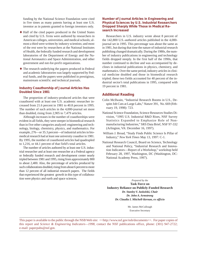funding by the National Science Foundation were cited in five times as many patents having at least one U.S. inventor as in patents granted to foreign inventors only.

- l Half of the cited papers produced in the United States and cited by U.S. firms were authored by researchers in American colleges, universities, and medical schools; almost a third were written by industry scientists; and most of the rest were by researchers at the National Institutes of Health, the federally funded research and development laboratories of the Department of Energy and the National Aeronautics and Space Administration, and other government and not-for-profit organizations.
- $\blacklozenge$  The research underlying the papers produced in Federal and academic laboratories was largely supported by Federal funds, and the papers were published in prestigious, mainstream scientific and technical journals.

# *Industry Coauthorship of Journal Articles Has Doubled Since 1981*

The proportion of industry-produced articles that were coauthored with at least one U.S. academic researcher increased from 21.6 percent in 1981 to 40.8 percent in 1995. The number of such articles in the 4,000-journal set more than doubled, rising from 2,905 to 7,479 articles.

Although increases in the number of coauthorships were evident in all fields, they were steeper in biomedical research than in five other categories analyzed: engineering and technology, biology, chemistry, physics, and mathematics. For example, 276—or 35.3 percent—of industrial articles in biomedical research had at least one university coauthor in 1981. By 1995, the number of coauthored articles had quadrupled to 1,216, or 44.1 percent of that field's total articles.

The number of articles authored by at least one U.S. industrial researcher and at least one researcher at a Federal agency or federally funded research and development center nearly tripled between 1981 and 1995, rising from approximately 800 to about 2,400. Also, the percentage of articles produced by such collaborations doubled, rising from about 6 percent to more than 12 percent of all industrial research papers. The fields that experienced the greatest growth in this type of collaboration were physics and earth and space sciences.

# *Number of Journal Articles in Engineering and Physical Sciences by U.S. Industrial Researchers Dropped Sharply While Those in Medical Research Increased*

Researchers in U.S. industry wrote about 8 percent of the 142,800 U.S.-authored articles published in the 4,000 journal set in 1995. This percentage was about the same as in 1981, but during that time the nature of industrial research publishing changed dramatically. During the 1980s, the number of industry publications in engineering and technology fields dropped steeply. In the first half of the 1990s, that number continued to decline and was accompanied by declines in industrial publications in physics, chemistry, and mathematics. Over the same period, industry articles in clinical medicine doubled and those in biomedical research tripled; these two fields accounted for 40 percent of the industrial sector's total publications in 1995, compared with 19 percent in 1981.

# **Additional Reading**

- Colin McIlwain, "Industrial Research Booms in U.S., Despite Job Cuts at Large Labs," *Nature* 391, No. 669 (February 19, 1998): 723.
- National Science Foundation, Science Resources Studies Division, "1995 U.S. Industrial R&D Rises, NSF Survey Statistics Expanded to Emphasize Role of Nonmanufacturing Industries," SRS Data Brief, NSF 97-332 (Arlington, VA: December 16, 1997).
- William J. Broad, "Study Finds Public Science Is Pillar of Industry," *New York Times* May 13, 1997: C-1.
- National Research Council, Board on Science, Technology and National Policy, "Industrial Research and Innovation Indicators—Report of a Workshop," workshop held February 28, 1997, Washington, DC (Washington, DC: National Academy Press, 1997).

*Prepared by the* **Task Force on Industry Reliance on Publicly-Funded Research** *Dr. Stanley V. Jaskolski, Chair Dr. John A. Armstrong Dr. Claudia I. Mitchell-Kernan, ex officio*

> Mr. James McCullough Executive Secretary

This paper is available to the public through the NSB Web site: <<http://www.nsf.gov/nsb/documents>>. For paper copies of this report and *Science & Engineering Indicators—1998*, contact the NSF publications office, phone: (301) 947-2722; e-mail: paperpubs@nsf.gov.